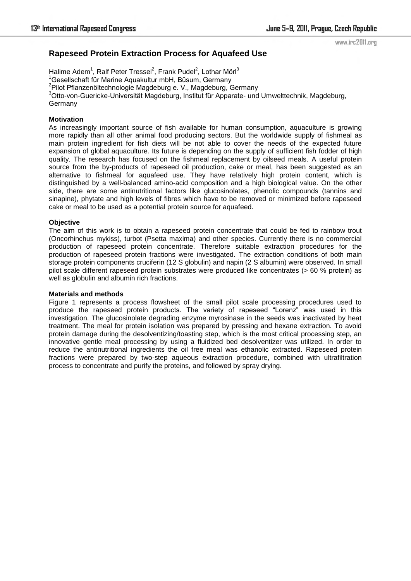www.irc2011.org

# **Rapeseed Protein Extraction Process for Aquafeed Use**

Halime Adem<sup>1</sup>, Ralf Peter Tressel<sup>2</sup>, Frank Pudel<sup>2</sup>, Lothar Mörl<sup>3</sup>  $1$ Gesellschaft für Marine Aquakultur mbH, Büsum, Germany <sup>2</sup>Pilot Pflanzenöltechnologie Magdeburg e. V., Magdeburg, Germany <sup>3</sup>Otto-von-Guericke-Universität Magdeburg, Institut für Apparate- und Umwelttechnik, Magdeburg, Germany

# **Motivation**

As increasingly important source of fish available for human consumption, aquaculture is growing more rapidly than all other animal food producing sectors. But the worldwide supply of fishmeal as main protein ingredient for fish diets will be not able to cover the needs of the expected future expansion of global aquaculture. Its future is depending on the supply of sufficient fish fodder of high quality. The research has focused on the fishmeal replacement by oilseed meals. A useful protein source from the by-products of rapeseed oil production, cake or meal, has been suggested as an alternative to fishmeal for aquafeed use. They have relatively high protein content, which is distinguished by a well-balanced amino-acid composition and a high biological value. On the other side, there are some antinutritional factors like glucosinolates, phenolic compounds (tannins and sinapine), phytate and high levels of fibres which have to be removed or minimized before rapeseed cake or meal to be used as a potential protein source for aquafeed.

## **Objective**

The aim of this work is to obtain a rapeseed protein concentrate that could be fed to rainbow trout (Oncorhinchus mykiss), turbot (Psetta maxima) and other species. Currently there is no commercial production of rapeseed protein concentrate. Therefore suitable extraction procedures for the production of rapeseed protein fractions were investigated. The extraction conditions of both main storage protein components cruciferin (12 S globulin) and napin (2 S albumin) were observed. In small pilot scale different rapeseed protein substrates were produced like concentrates (> 60 % protein) as well as globulin and albumin rich fractions.

## **Materials and methods**

Figure 1 represents a process flowsheet of the small pilot scale processing procedures used to produce the rapeseed protein products. The variety of rapeseed "Lorenz" was used in this investigation. The glucosinolate degrading enzyme myrosinase in the seeds was inactivated by heat treatment. The meal for protein isolation was prepared by pressing and hexane extraction. To avoid protein damage during the desolventizing/toasting step, which is the most critical processing step, an innovative gentle meal processing by using a fluidized bed desolventizer was utilized. In order to reduce the antinutritional ingredients the oil free meal was ethanolic extracted. Rapeseed protein fractions were prepared by two-step aqueous extraction procedure, combined with ultrafiltration process to concentrate and purify the proteins, and followed by spray drying.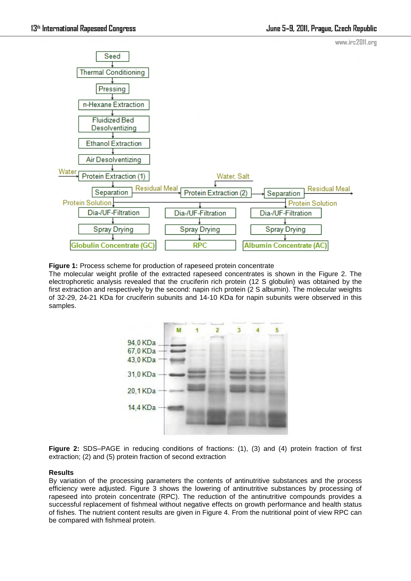

**Figure 1:** Process scheme for production of rapeseed protein concentrate

The molecular weight profile of the extracted rapeseed concentrates is shown in the Figure 2. The electrophoretic analysis revealed that the cruciferin rich protein (12 S globulin) was obtained by the first extraction and respectively by the second: napin rich protein (2 S albumin). The molecular weights of 32-29, 24-21 KDa for cruciferin subunits and 14-10 KDa for napin subunits were observed in this samples.



**Figure 2:** SDS–PAGE in reducing conditions of fractions: (1), (3) and (4) protein fraction of first extraction; (2) and (5) protein fraction of second extraction

# **Results**

By variation of the processing parameters the contents of antinutritive substances and the process efficiency were adjusted. Figure 3 shows the lowering of antinutritive substances by processing of rapeseed into protein concentrate (RPC). The reduction of the antinutritive compounds provides a successful replacement of fishmeal without negative effects on growth performance and health status of fishes. The nutrient content results are given in Figure 4. From the nutritional point of view RPC can be compared with fishmeal protein.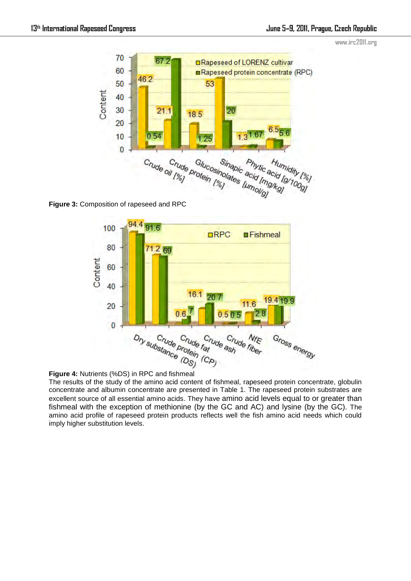



**Figure 3:** Composition of rapeseed and RPC





The results of the study of the amino acid content of fishmeal, rapeseed protein concentrate, globulin concentrate and albumin concentrate are presented in Table 1. The rapeseed protein substrates are excellent source of all essential amino acids. They have amino acid levels equal to or greater than fishmeal with the exception of methionine (by the GC and AC) and lysine (by the GC). The amino acid profile of rapeseed protein products reflects well the fish amino acid needs which could imply higher substitution levels.